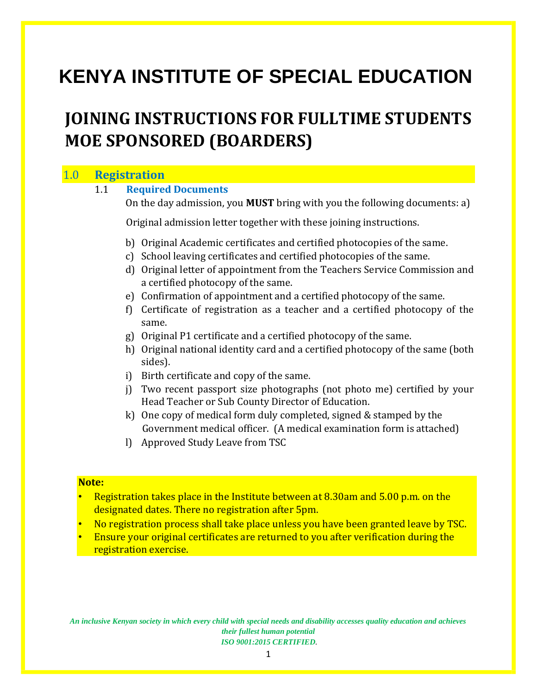# **KENYA INSTITUTE OF SPECIAL EDUCATION**

## **JOINING INSTRUCTIONS FOR FULLTIME STUDENTS MOE SPONSORED (BOARDERS)**

## 1.0 **Registration**

**Note:**

| 1.1 | <b>Required Documents</b>                                                        |                                                                                                                                                |  |  |  |
|-----|----------------------------------------------------------------------------------|------------------------------------------------------------------------------------------------------------------------------------------------|--|--|--|
|     | On the day admission, you <b>MUST</b> bring with you the following documents: a) |                                                                                                                                                |  |  |  |
|     | Original admission letter together with these joining instructions.              |                                                                                                                                                |  |  |  |
|     | $\mathcal{C}$                                                                    | b) Original Academic certificates and certified photocopies of the same.<br>School leaving certificates and certified photocopies of the same. |  |  |  |
|     | d)                                                                               | Original letter of appointment from the Teachers Service Commission and<br>a certified photocopy of the same.                                  |  |  |  |
|     |                                                                                  | e) Confirmation of appointment and a certified photocopy of the same.                                                                          |  |  |  |
|     | f)                                                                               | Certificate of registration as a teacher and a certified photocopy of the<br>same.                                                             |  |  |  |
|     | g)                                                                               | Original P1 certificate and a certified photocopy of the same.                                                                                 |  |  |  |
|     | h)                                                                               | Original national identity card and a certified photocopy of the same (both<br>sides).                                                         |  |  |  |
|     | i)                                                                               | Birth certificate and copy of the same.                                                                                                        |  |  |  |
|     | j)                                                                               | Two recent passport size photographs (not photo me) certified by your<br>Head Teacher or Sub County Director of Education.                     |  |  |  |
|     |                                                                                  | k) One copy of medical form duly completed, signed & stamped by the<br>Government medical officer. (A medical examination form is attached)    |  |  |  |
|     | $\mathbf{I}$                                                                     | Approved Study Leave from TSC                                                                                                                  |  |  |  |
|     |                                                                                  |                                                                                                                                                |  |  |  |
| e:  |                                                                                  |                                                                                                                                                |  |  |  |
|     |                                                                                  | Registration takes place in the Institute between at 8.30am and 5.00 p.m. on the                                                               |  |  |  |

- Registration takes place in the Institute between at 8.30am and 5.00 p.m. on the designated dates. There no registration after 5pm.
- No registration process shall take place unless you have been granted leave by TSC.
- Ensure your original certificates are returned to you after verification during the registration exercise.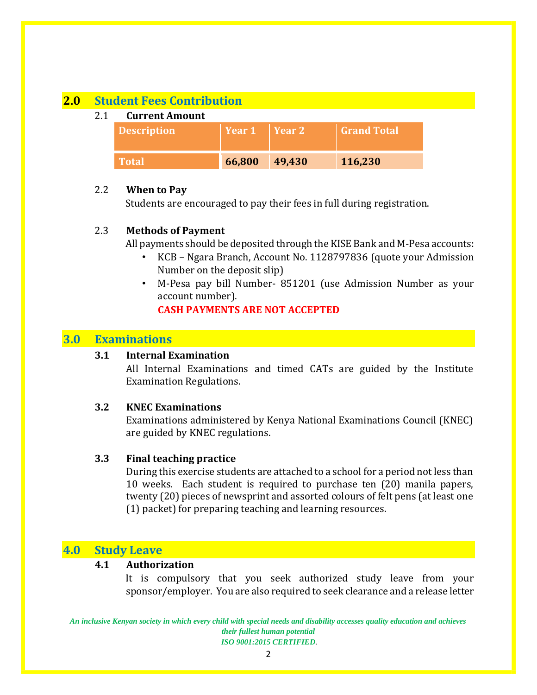## **2.0 Student Fees Contribution**

#### 2.1 **Current Amount**

| <b>Description</b> | $\vert$ Year 1 $\vert$ Year 2 | <b>Grand Total</b> |
|--------------------|-------------------------------|--------------------|
| <b>Total</b>       | 66,800 49,430                 | 116,230            |

#### 2.2 **When to Pay**

Students are encouraged to pay their fees in full during registration.

#### 2.3 **Methods of Payment**

All payments should be deposited through the KISE Bank and M-Pesa accounts:

- KCB Ngara Branch, Account No. 1128797836 (quote your Admission Number on the deposit slip)
- M-Pesa pay bill Number- 851201 (use Admission Number as your account number).

#### **CASH PAYMENTS ARE NOT ACCEPTED**

## **3.0 Examinations**

#### **3.1 Internal Examination**

All Internal Examinations and timed CATs are guided by the Institute Examination Regulations.

#### **3.2 KNEC Examinations**

Examinations administered by Kenya National Examinations Council (KNEC) are guided by KNEC regulations.

#### **3.3 Final teaching practice**

During this exercise students are attached to a school for a period not less than 10 weeks. Each student is required to purchase ten (20) manila papers, twenty (20) pieces of newsprint and assorted colours of felt pens (at least one (1) packet) for preparing teaching and learning resources.

## **4.0 Study Leave**

#### **4.1 Authorization**

It is compulsory that you seek authorized study leave from your sponsor/employer. You are also required to seek clearance and a release letter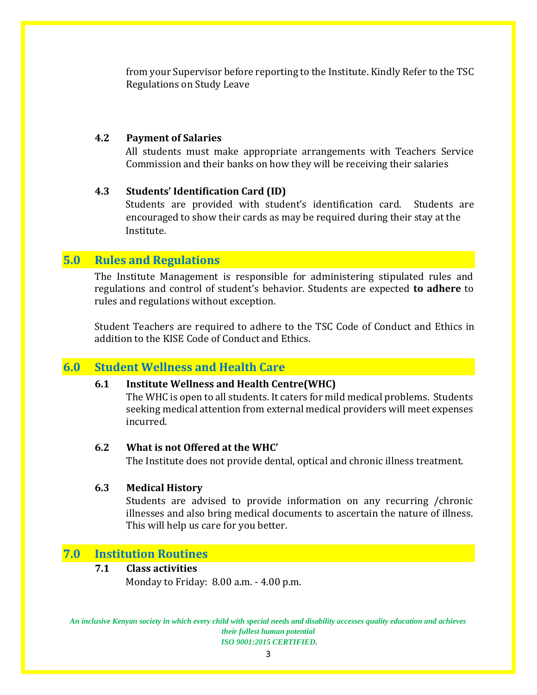from your Supervisor before reporting to the Institute. Kindly Refer to the TSC Regulations on Study Leave

#### **4.2 Payment of Salaries**

All students must make appropriate arrangements with Teachers Service Commission and their banks on how they will be receiving their salaries

#### **4.3 Students' Identification Card (ID)**

Students are provided with student's identification card. Students are encouraged to show their cards as may be required during their stay at the Institute.

## **5.0 Rules and Regulations**

The Institute Management is responsible for administering stipulated rules and regulations and control of student's behavior. Students are expected **to adhere** to rules and regulations without exception.

Student Teachers are required to adhere to the TSC Code of Conduct and Ethics in addition to the KISE Code of Conduct and Ethics.

## **6.0 Student Wellness and Health Care**

#### **6.1 Institute Wellness and Health Centre(WHC)**

The WHC is open to all students. It caters for mild medical problems. Students seeking medical attention from external medical providers will meet expenses incurred.

#### **6.2 What is not Offered at the WHC'**

The Institute does not provide dental, optical and chronic illness treatment.

#### **6.3 Medical History**

Students are advised to provide information on any recurring /chronic illnesses and also bring medical documents to ascertain the nature of illness. This will help us care for you better.

## **7.0 Institution Routines**

#### **7.1 Class activities**

Monday to Friday: 8.00 a.m. - 4.00 p.m.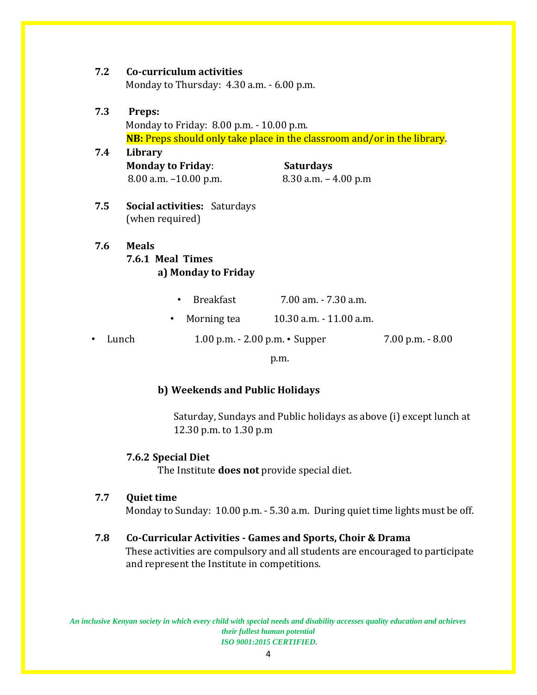| 7.2 | Co-curriculum activities                                                        |                  |                         |                     |  |  |  |
|-----|---------------------------------------------------------------------------------|------------------|-------------------------|---------------------|--|--|--|
|     | Monday to Thursday: 4.30 a.m. - 6.00 p.m.                                       |                  |                         |                     |  |  |  |
| 7.3 | Preps:                                                                          |                  |                         |                     |  |  |  |
|     |                                                                                 |                  |                         |                     |  |  |  |
|     | Monday to Friday: 8.00 p.m. - 10.00 p.m.                                        |                  |                         |                     |  |  |  |
|     | <b>NB:</b> Preps should only take place in the classroom and/or in the library. |                  |                         |                     |  |  |  |
| 7.4 | Library                                                                         |                  |                         |                     |  |  |  |
|     | <b>Monday to Friday:</b>                                                        |                  | <b>Saturdays</b>        |                     |  |  |  |
|     | $8.00$ a.m. $-10.00$ p.m.                                                       |                  | $8.30$ a.m. $-4.00$ p.m |                     |  |  |  |
|     |                                                                                 |                  |                         |                     |  |  |  |
| 7.5 | <b>Social activities: Saturdays</b>                                             |                  |                         |                     |  |  |  |
|     | (when required)                                                                 |                  |                         |                     |  |  |  |
| 7.6 | <b>Meals</b>                                                                    |                  |                         |                     |  |  |  |
|     | 7.6.1 Meal Times                                                                |                  |                         |                     |  |  |  |
|     | a) Monday to Friday                                                             |                  |                         |                     |  |  |  |
|     |                                                                                 |                  |                         |                     |  |  |  |
|     |                                                                                 | <b>Breakfast</b> | 7.00 am. - 7.30 a.m.    |                     |  |  |  |
|     | ٠                                                                               | Morning tea      | 10.30 a.m. - 11.00 a.m. |                     |  |  |  |
| ٠   | 1.00 p.m. $- 2.00$ p.m. $\cdot$ Supper<br>Lunch                                 |                  |                         | $7.00$ p.m. $-8.00$ |  |  |  |
|     |                                                                                 |                  | p.m.                    |                     |  |  |  |
|     |                                                                                 |                  |                         |                     |  |  |  |

#### **b) Weekends and Public Holidays**

Saturday, Sundays and Public holidays as above (i) except lunch at 12.30 p.m. to 1.30 p.m

#### **7.6.2 Special Diet**

The Institute **does not** provide special diet.

#### **7.7 Quiet time**

Monday to Sunday: 10.00 p.m. - 5.30 a.m. During quiet time lights must be off.

## **7.8 Co-Curricular Activities - Games and Sports, Choir & Drama**

These activities are compulsory and all students are encouraged to participate and represent the Institute in competitions.

*An inclusive Kenyan society in which every child with special needs and disability accesses quality education and achieves their fullest human potential ISO 9001:2015 CERTIFIED.* 

4